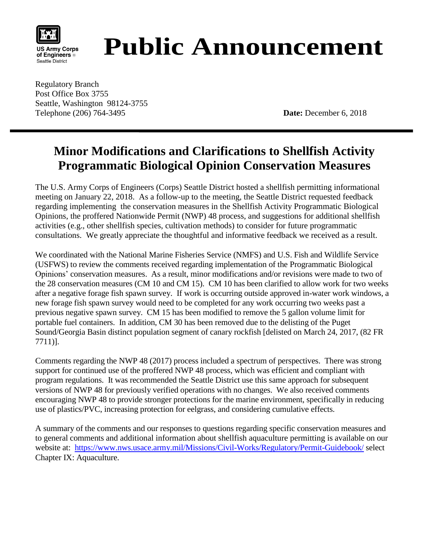

# **Public Announcement**

Regulatory Branch Post Office Box 3755 Seattle, Washington 98124-3755 Telephone (206) 764-3495 **Date:** December 6, 2018

# **Minor Modifications and Clarifications to Shellfish Activity Programmatic Biological Opinion Conservation Measures**

The U.S. Army Corps of Engineers (Corps) Seattle District hosted a shellfish permitting informational meeting on January 22, 2018. As a follow-up to the meeting, the Seattle District requested feedback regarding implementing the conservation measures in the Shellfish Activity Programmatic Biological Opinions, the proffered Nationwide Permit (NWP) 48 process, and suggestions for additional shellfish activities (e.g., other shellfish species, cultivation methods) to consider for future programmatic consultations. We greatly appreciate the thoughtful and informative feedback we received as a result.

We coordinated with the National Marine Fisheries Service (NMFS) and U.S. Fish and Wildlife Service (USFWS) to review the comments received regarding implementation of the Programmatic Biological Opinions' conservation measures. As a result, minor modifications and/or revisions were made to two of the 28 conservation measures (CM 10 and CM 15). CM 10 has been clarified to allow work for two weeks after a negative forage fish spawn survey. If work is occurring outside approved in-water work windows, a new forage fish spawn survey would need to be completed for any work occurring two weeks past a previous negative spawn survey. CM 15 has been modified to remove the 5 gallon volume limit for portable fuel containers. In addition, CM 30 has been removed due to the delisting of the Puget Sound/Georgia Basin distinct population segment of canary rockfish [delisted on March 24, 2017, (82 FR 7711)].

Comments regarding the NWP 48 (2017) process included a spectrum of perspectives. There was strong support for continued use of the proffered NWP 48 process, which was efficient and compliant with program regulations. It was recommended the Seattle District use this same approach for subsequent versions of NWP 48 for previously verified operations with no changes. We also received comments encouraging NWP 48 to provide stronger protections for the marine environment, specifically in reducing use of plastics/PVC, increasing protection for eelgrass, and considering cumulative effects.

A summary of the comments and our responses to questions regarding specific conservation measures and to general comments and additional information about shellfish aquaculture permitting is available on our website at: <https://www.nws.usace.army.mil/Missions/Civil-Works/Regulatory/Permit-Guidebook/> select Chapter IX: Aquaculture.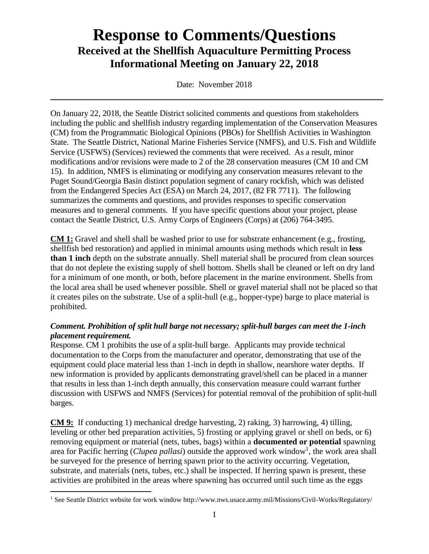# **Response to Comments/Questions Received at the Shellfish Aquaculture Permitting Process Informational Meeting on January 22, 2018**

Date: November 2018

On January 22, 2018, the Seattle District solicited comments and questions from stakeholders including the public and shellfish industry regarding implementation of the Conservation Measures (CM) from the Programmatic Biological Opinions (PBOs) for Shellfish Activities in Washington State. The Seattle District, National Marine Fisheries Service (NMFS), and U.S. Fish and Wildlife Service (USFWS) (Services) reviewed the comments that were received. As a result, minor modifications and/or revisions were made to 2 of the 28 conservation measures (CM 10 and CM 15). In addition, NMFS is eliminating or modifying any conservation measures relevant to the Puget Sound/Georgia Basin distinct population segment of canary rockfish, which was delisted from the Endangered Species Act (ESA) on March 24, 2017, (82 FR 7711). The following summarizes the comments and questions, and provides responses to specific conservation measures and to general comments. If you have specific questions about your project, please contact the Seattle District, U.S. Army Corps of Engineers (Corps) at (206) 764-3495.

**CM 1:** Gravel and shell shall be washed prior to use for substrate enhancement (e.g., frosting, shellfish bed restoration) and applied in minimal amounts using methods which result in **less than 1 inch** depth on the substrate annually. Shell material shall be procured from clean sources that do not deplete the existing supply of shell bottom. Shells shall be cleaned or left on dry land for a minimum of one month, or both, before placement in the marine environment. Shells from the local area shall be used whenever possible. Shell or gravel material shall not be placed so that it creates piles on the substrate. Use of a split-hull (e.g., hopper-type) barge to place material is prohibited.

#### *Comment. Prohibition of split hull barge not necessary; split-hull barges can meet the 1-inch placement requirement.*

Response. CM 1 prohibits the use of a split-hull barge. Applicants may provide technical documentation to the Corps from the manufacturer and operator, demonstrating that use of the equipment could place material less than 1-inch in depth in shallow, nearshore water depths. If new information is provided by applicants demonstrating gravel/shell can be placed in a manner that results in less than 1-inch depth annually, this conservation measure could warrant further discussion with USFWS and NMFS (Services) for potential removal of the prohibition of split-hull barges.

**CM 9:** If conducting 1) mechanical dredge harvesting, 2) raking, 3) harrowing, 4) tilling, leveling or other bed preparation activities, 5) frosting or applying gravel or shell on beds, or 6) removing equipment or material (nets, tubes, bags) within a **documented or potential** spawning area for Pacific herring (*Clupea pallasi*) outside the approved work window<sup>1</sup>, the work area shall be surveyed for the presence of herring spawn prior to the activity occurring. Vegetation, substrate, and materials (nets, tubes, etc.) shall be inspected. If herring spawn is present, these activities are prohibited in the areas where spawning has occurred until such time as the eggs

 $\overline{a}$ 

<sup>&</sup>lt;sup>1</sup> See Seattle District website for work window http://www.nws.usace.army.mil/Missions/Civil-Works/Regulatory/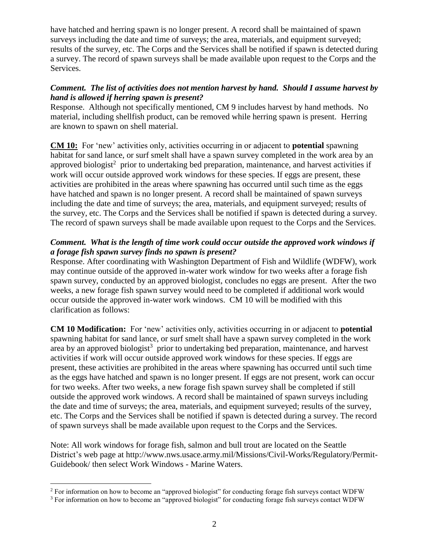have hatched and herring spawn is no longer present. A record shall be maintained of spawn surveys including the date and time of surveys; the area, materials, and equipment surveyed; results of the survey, etc. The Corps and the Services shall be notified if spawn is detected during a survey. The record of spawn surveys shall be made available upon request to the Corps and the Services.

#### *Comment. The list of activities does not mention harvest by hand. Should I assume harvest by hand is allowed if herring spawn is present?*

Response. Although not specifically mentioned, CM 9 includes harvest by hand methods. No material, including shellfish product, can be removed while herring spawn is present. Herring are known to spawn on shell material.

**CM 10:** For 'new' activities only, activities occurring in or adjacent to **potential** spawning habitat for sand lance, or surf smelt shall have a spawn survey completed in the work area by an approved biologist<sup>2</sup> prior to undertaking bed preparation, maintenance, and harvest activities if work will occur outside approved work windows for these species. If eggs are present, these activities are prohibited in the areas where spawning has occurred until such time as the eggs have hatched and spawn is no longer present. A record shall be maintained of spawn surveys including the date and time of surveys; the area, materials, and equipment surveyed; results of the survey, etc. The Corps and the Services shall be notified if spawn is detected during a survey. The record of spawn surveys shall be made available upon request to the Corps and the Services.

# *Comment. What is the length of time work could occur outside the approved work windows if a forage fish spawn survey finds no spawn is present?*

Response. After coordinating with Washington Department of Fish and Wildlife (WDFW), work may continue outside of the approved in-water work window for two weeks after a forage fish spawn survey, conducted by an approved biologist, concludes no eggs are present. After the two weeks, a new forage fish spawn survey would need to be completed if additional work would occur outside the approved in-water work windows. CM 10 will be modified with this clarification as follows:

**CM 10 Modification:** For 'new' activities only, activities occurring in or adjacent to **potential** spawning habitat for sand lance, or surf smelt shall have a spawn survey completed in the work area by an approved biologist<sup>3</sup> prior to undertaking bed preparation, maintenance, and harvest activities if work will occur outside approved work windows for these species. If eggs are present, these activities are prohibited in the areas where spawning has occurred until such time as the eggs have hatched and spawn is no longer present. If eggs are not present, work can occur for two weeks. After two weeks, a new forage fish spawn survey shall be completed if still outside the approved work windows. A record shall be maintained of spawn surveys including the date and time of surveys; the area, materials, and equipment surveyed; results of the survey, etc. The Corps and the Services shall be notified if spawn is detected during a survey. The record of spawn surveys shall be made available upon request to the Corps and the Services.

Note: All work windows for forage fish, salmon and bull trout are located on the Seattle District's web page at http://www.nws.usace.army.mil/Missions/Civil-Works/Regulatory/Permit-Guidebook/ then select Work Windows - Marine Waters.

 $\overline{a}$ 

<sup>&</sup>lt;sup>2</sup> For information on how to become an "approved biologist" for conducting forage fish surveys contact WDFW

<sup>&</sup>lt;sup>3</sup> For information on how to become an "approved biologist" for conducting forage fish surveys contact WDFW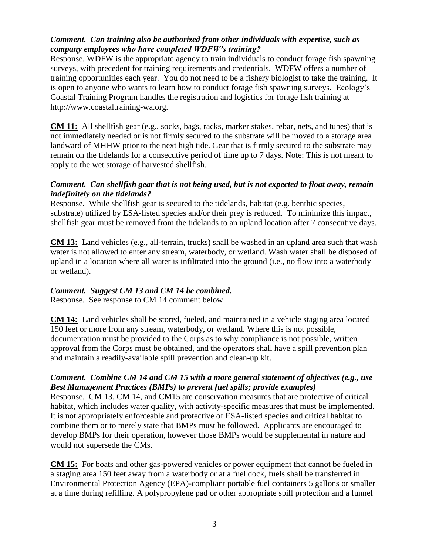## *Comment. Can training also be authorized from other individuals with expertise, such as company employees who have completed WDFW's training?*

Response. WDFW is the appropriate agency to train individuals to conduct forage fish spawning surveys, with precedent for training requirements and credentials. WDFW offers a number of training opportunities each year. You do not need to be a fishery biologist to take the training. It is open to anyone who wants to learn how to conduct forage fish spawning surveys. Ecology's Coastal Training Program handles the registration and logistics for forage fish training at http://www.coastaltraining-wa.org.

**CM 11:** All shellfish gear (e.g., socks, bags, racks, marker stakes, rebar, nets, and tubes) that is not immediately needed or is not firmly secured to the substrate will be moved to a storage area landward of MHHW prior to the next high tide. Gear that is firmly secured to the substrate may remain on the tidelands for a consecutive period of time up to 7 days. Note: This is not meant to apply to the wet storage of harvested shellfish.

#### *Comment. Can shellfish gear that is not being used, but is not expected to float away, remain indefinitely on the tidelands?*

Response. While shellfish gear is secured to the tidelands, habitat (e.g. benthic species, substrate) utilized by ESA-listed species and/or their prey is reduced. To minimize this impact, shellfish gear must be removed from the tidelands to an upland location after 7 consecutive days.

**CM 13:** Land vehicles (e.g., all-terrain, trucks) shall be washed in an upland area such that wash water is not allowed to enter any stream, waterbody, or wetland. Wash water shall be disposed of upland in a location where all water is infiltrated into the ground (i.e., no flow into a waterbody or wetland).

#### *Comment. Suggest CM 13 and CM 14 be combined.*

Response. See response to CM 14 comment below.

**CM 14:** Land vehicles shall be stored, fueled, and maintained in a vehicle staging area located 150 feet or more from any stream, waterbody, or wetland. Where this is not possible, documentation must be provided to the Corps as to why compliance is not possible, written approval from the Corps must be obtained, and the operators shall have a spill prevention plan and maintain a readily-available spill prevention and clean-up kit.

## *Comment. Combine CM 14 and CM 15 with a more general statement of objectives (e.g., use Best Management Practices (BMPs) to prevent fuel spills; provide examples)*

Response. CM 13, CM 14, and CM15 are conservation measures that are protective of critical habitat, which includes water quality, with activity-specific measures that must be implemented. It is not appropriately enforceable and protective of ESA-listed species and critical habitat to combine them or to merely state that BMPs must be followed. Applicants are encouraged to develop BMPs for their operation, however those BMPs would be supplemental in nature and would not supersede the CMs.

**CM 15:** For boats and other gas-powered vehicles or power equipment that cannot be fueled in a staging area 150 feet away from a waterbody or at a fuel dock, fuels shall be transferred in Environmental Protection Agency (EPA)-compliant portable fuel containers 5 gallons or smaller at a time during refilling. A polypropylene pad or other appropriate spill protection and a funnel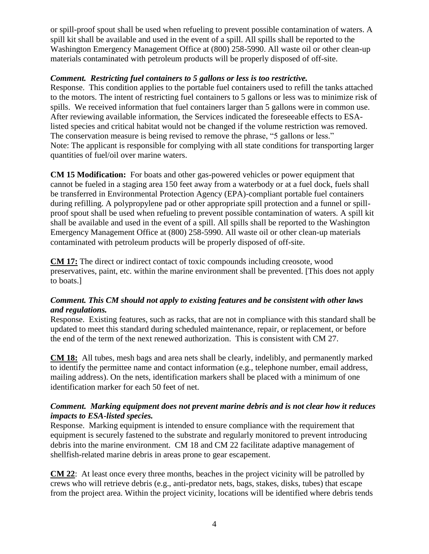or spill-proof spout shall be used when refueling to prevent possible contamination of waters. A spill kit shall be available and used in the event of a spill. All spills shall be reported to the Washington Emergency Management Office at (800) 258-5990. All waste oil or other clean-up materials contaminated with petroleum products will be properly disposed of off-site.

#### *Comment. Restricting fuel containers to 5 gallons or less is too restrictive.*

Response. This condition applies to the portable fuel containers used to refill the tanks attached to the motors. The intent of restricting fuel containers to 5 gallons or less was to minimize risk of spills. We received information that fuel containers larger than 5 gallons were in common use. After reviewing available information, the Services indicated the foreseeable effects to ESAlisted species and critical habitat would not be changed if the volume restriction was removed. The conservation measure is being revised to remove the phrase, "5 gallons or less." Note: The applicant is responsible for complying with all state conditions for transporting larger quantities of fuel/oil over marine waters.

**CM 15 Modification:** For boats and other gas-powered vehicles or power equipment that cannot be fueled in a staging area 150 feet away from a waterbody or at a fuel dock, fuels shall be transferred in Environmental Protection Agency (EPA)-compliant portable fuel containers during refilling. A polypropylene pad or other appropriate spill protection and a funnel or spillproof spout shall be used when refueling to prevent possible contamination of waters. A spill kit shall be available and used in the event of a spill. All spills shall be reported to the Washington Emergency Management Office at (800) 258-5990. All waste oil or other clean-up materials contaminated with petroleum products will be properly disposed of off-site.

**CM 17:** The direct or indirect contact of toxic compounds including creosote, wood preservatives, paint, etc. within the marine environment shall be prevented. [This does not apply to boats.]

#### *Comment. This CM should not apply to existing features and be consistent with other laws and regulations.*

Response. Existing features, such as racks, that are not in compliance with this standard shall be updated to meet this standard during scheduled maintenance, repair, or replacement, or before the end of the term of the next renewed authorization. This is consistent with CM 27.

**CM 18:** All tubes, mesh bags and area nets shall be clearly, indelibly, and permanently marked to identify the permittee name and contact information (e.g., telephone number, email address, mailing address). On the nets, identification markers shall be placed with a minimum of one identification marker for each 50 feet of net.

#### *Comment. Marking equipment does not prevent marine debris and is not clear how it reduces impacts to ESA-listed species.*

Response. Marking equipment is intended to ensure compliance with the requirement that equipment is securely fastened to the substrate and regularly monitored to prevent introducing debris into the marine environment. CM 18 and CM 22 facilitate adaptive management of shellfish-related marine debris in areas prone to gear escapement.

**CM 22**: At least once every three months, beaches in the project vicinity will be patrolled by crews who will retrieve debris (e.g., anti-predator nets, bags, stakes, disks, tubes) that escape from the project area. Within the project vicinity, locations will be identified where debris tends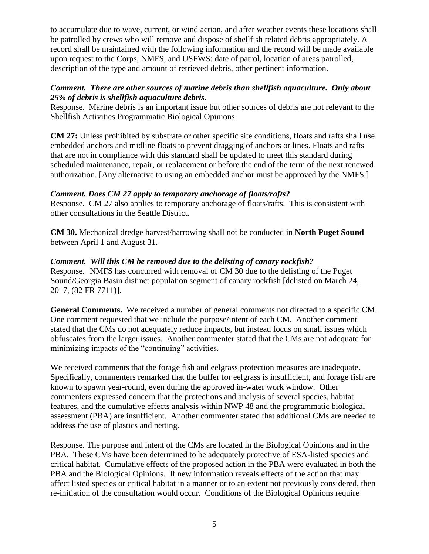to accumulate due to wave, current, or wind action, and after weather events these locations shall be patrolled by crews who will remove and dispose of shellfish related debris appropriately. A record shall be maintained with the following information and the record will be made available upon request to the Corps, NMFS, and USFWS: date of patrol, location of areas patrolled, description of the type and amount of retrieved debris, other pertinent information.

#### *Comment. There are other sources of marine debris than shellfish aquaculture. Only about 25% of debris is shellfish aquaculture debris.*

Response. Marine debris is an important issue but other sources of debris are not relevant to the Shellfish Activities Programmatic Biological Opinions.

**CM 27:** Unless prohibited by substrate or other specific site conditions, floats and rafts shall use embedded anchors and midline floats to prevent dragging of anchors or lines. Floats and rafts that are not in compliance with this standard shall be updated to meet this standard during scheduled maintenance, repair, or replacement or before the end of the term of the next renewed authorization. [Any alternative to using an embedded anchor must be approved by the NMFS.]

# *Comment. Does CM 27 apply to temporary anchorage of floats/rafts?*

Response. CM 27 also applies to temporary anchorage of floats/rafts. This is consistent with other consultations in the Seattle District.

**CM 30.** Mechanical dredge harvest/harrowing shall not be conducted in **North Puget Sound** between April 1 and August 31.

## *Comment. Will this CM be removed due to the delisting of canary rockfish?*

Response. NMFS has concurred with removal of CM 30 due to the delisting of the Puget Sound/Georgia Basin distinct population segment of canary rockfish [delisted on March 24, 2017, (82 FR 7711)].

**General Comments.** We received a number of general comments not directed to a specific CM. One comment requested that we include the purpose/intent of each CM. Another comment stated that the CMs do not adequately reduce impacts, but instead focus on small issues which obfuscates from the larger issues. Another commenter stated that the CMs are not adequate for minimizing impacts of the "continuing" activities.

We received comments that the forage fish and eelgrass protection measures are inadequate. Specifically, commenters remarked that the buffer for eelgrass is insufficient, and forage fish are known to spawn year-round, even during the approved in-water work window. Other commenters expressed concern that the protections and analysis of several species, habitat features, and the cumulative effects analysis within NWP 48 and the programmatic biological assessment (PBA) are insufficient. Another commenter stated that additional CMs are needed to address the use of plastics and netting.

Response. The purpose and intent of the CMs are located in the Biological Opinions and in the PBA. These CMs have been determined to be adequately protective of ESA-listed species and critical habitat. Cumulative effects of the proposed action in the PBA were evaluated in both the PBA and the Biological Opinions. If new information reveals effects of the action that may affect listed species or critical habitat in a manner or to an extent not previously considered, then re-initiation of the consultation would occur. Conditions of the Biological Opinions require